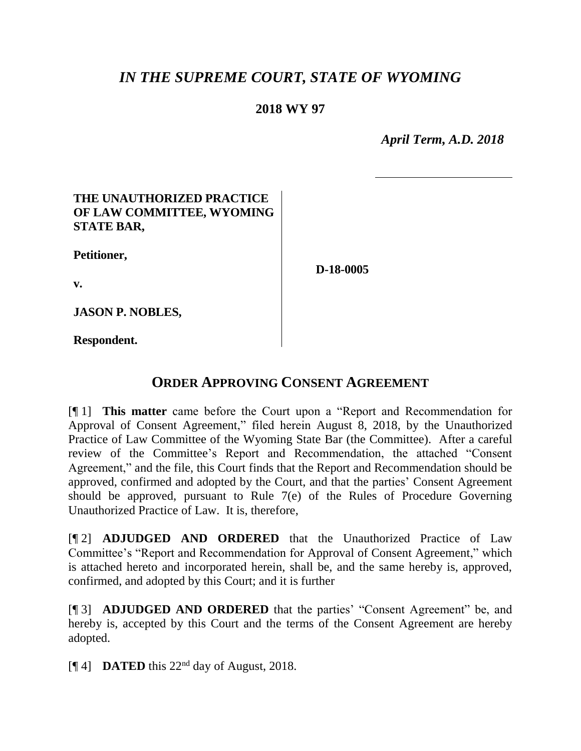# *IN THE SUPREME COURT, STATE OF WYOMING*

## **2018 WY 97**

 *April Term, A.D. 2018*

## **THE UNAUTHORIZED PRACTICE OF LAW COMMITTEE, WYOMING STATE BAR,**

**Petitioner,**

**D-18-0005**

**v.**

**JASON P. NOBLES,**

**Respondent.**

# **ORDER APPROVING CONSENT AGREEMENT**

[¶ 1] **This matter** came before the Court upon a "Report and Recommendation for Approval of Consent Agreement," filed herein August 8, 2018, by the Unauthorized Practice of Law Committee of the Wyoming State Bar (the Committee). After a careful review of the Committee's Report and Recommendation, the attached "Consent Agreement," and the file, this Court finds that the Report and Recommendation should be approved, confirmed and adopted by the Court, and that the parties' Consent Agreement should be approved, pursuant to Rule 7(e) of the Rules of Procedure Governing Unauthorized Practice of Law. It is, therefore,

[¶ 2] **ADJUDGED AND ORDERED** that the Unauthorized Practice of Law Committee's "Report and Recommendation for Approval of Consent Agreement," which is attached hereto and incorporated herein, shall be, and the same hereby is, approved, confirmed, and adopted by this Court; and it is further

[¶ 3] **ADJUDGED AND ORDERED** that the parties' "Consent Agreement" be, and hereby is, accepted by this Court and the terms of the Consent Agreement are hereby adopted.

 $\llbracket \P{\hspace{0.85pt}4}\rrbracket$  **DATED** this 22<sup>nd</sup> day of August, 2018.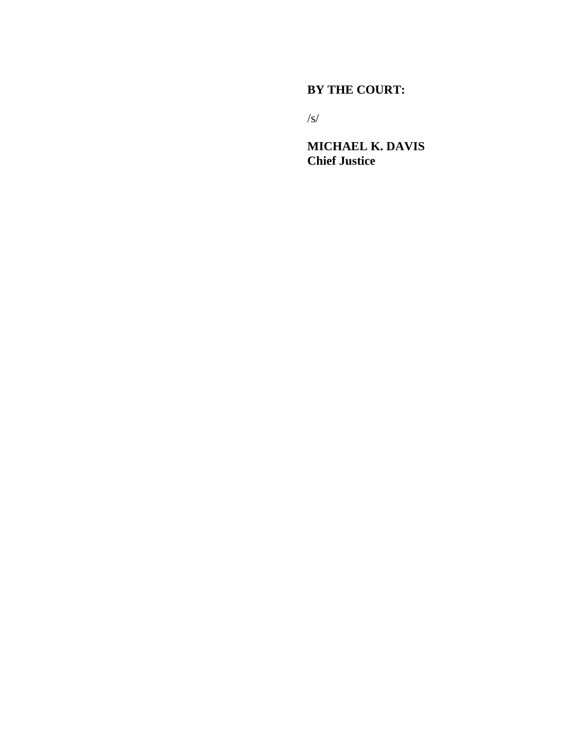### **BY THE COURT:**

/s/

**MICHAEL K. DAVIS Chief Justice**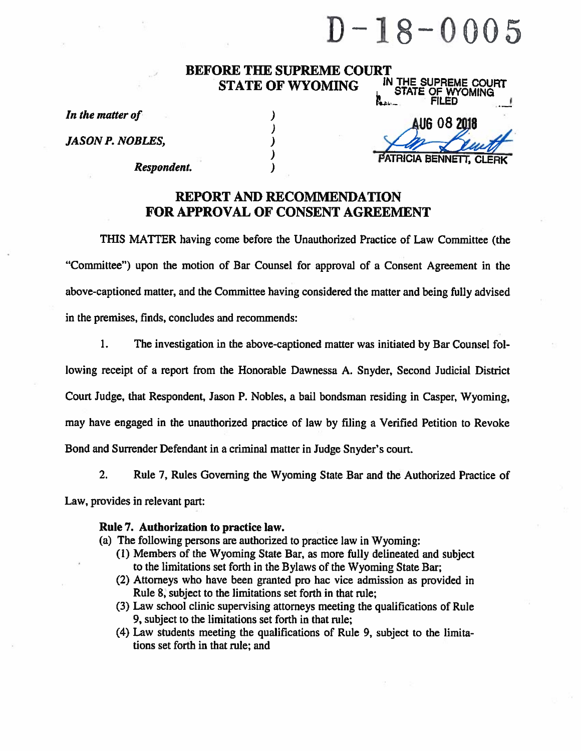# $D - 18 - 0005$

#### **BEFORE THE SUPREME COURT** IN THE SUPREME COURT **STATE OF WYOMING**

)

 $\lambda$ 

 $\mathbf{I}$  $\lambda$ 

 $\mathbf{I}$ 

In the matter of

**JASON P. NOBLES,** 

Respondent.

**FILED** AUG 08 2011 PATRICIA BENNE

STATE OF WYOMING

## **REPORT AND RECOMMENDATION FOR APPROVAL OF CONSENT AGREEMENT**

THIS MATTER having come before the Unauthorized Practice of Law Committee (the "Committee") upon the motion of Bar Counsel for approval of a Consent Agreement in the above-captioned matter, and the Committee having considered the matter and being fully advised in the premises, finds, concludes and recommends:

 $1.$ The investigation in the above-captioned matter was initiated by Bar Counsel following receipt of a report from the Honorable Dawnessa A. Snyder, Second Judicial District Court Judge, that Respondent, Jason P. Nobles, a bail bondsman residing in Casper, Wyoming, may have engaged in the unauthorized practice of law by filing a Verified Petition to Revoke Bond and Surrender Defendant in a criminal matter in Judge Snyder's court.

 $2.$ Rule 7, Rules Governing the Wyoming State Bar and the Authorized Practice of Law, provides in relevant part:

#### Rule 7. Authorization to practice law.

- (a) The following persons are authorized to practice law in Wyoming:
	- (1) Members of the Wyoming State Bar, as more fully delineated and subject to the limitations set forth in the Bylaws of the Wyoming State Bar;
	- (2) Attorneys who have been granted pro hac vice admission as provided in Rule 8, subject to the limitations set forth in that rule;
	- (3) Law school clinic supervising attorneys meeting the qualifications of Rule 9, subject to the limitations set forth in that rule;
	- (4) Law students meeting the qualifications of Rule 9, subject to the limitations set forth in that rule; and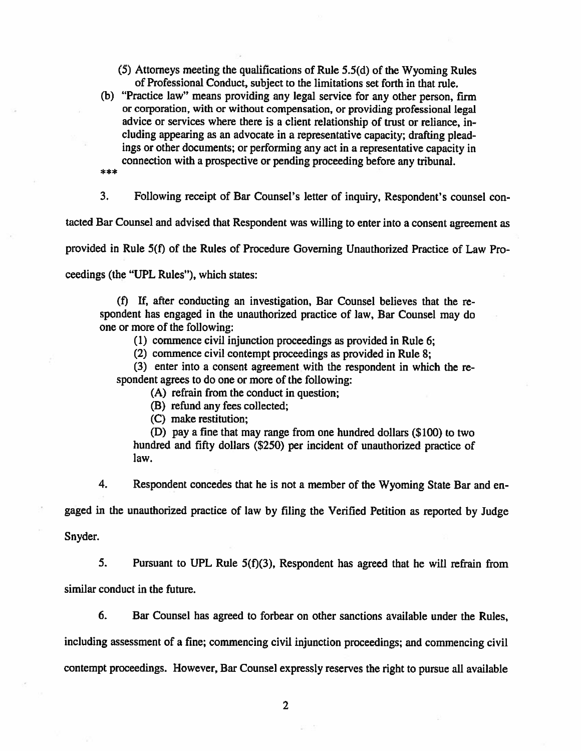- (5) Attorneys meeting the qualifications of Rule 5.5(d) of the Wyoming Rules of Professional Conduct, subject to the limitations set forth in that rule.
- (b) "Practice law" means providing any legal service for any other person, firm or corporation, with or without compensation, or providing professional legal advice or services where there is a client relationship of trust or reliance, including appearing as an advocate in a representative capacity; drafting pleadings or other documents; or performing any act in a representative capacity in connection with a prospective or pending proceeding before any tribunal.
- \*\*\*

3. Following receipt of Bar Counsel's letter of inquiry, Respondent's counsel con-

tacted Bar Counsel and advised that Respondent was willing to enter into a consent agreement as

provided in Rule 5(f) of the Rules of Procedure Governing Unauthorized Practice of Law Pro-

ceedings (the "UPL Rules"), which states:

(f) If, after conducting an investigation, Bar Counsel believes that the respondent has engaged in the unauthorized practice of law, Bar Counsel may do one or more of the following:

(1) commence civil injunction proceedings as provided in Rule 6;

(2) commence civil contempt proceedings as provided in Rule 8;

(3) enter into a consent agreement with the respondent in which the respondent agrees to do one or more of the following:

(A) refrain from the conduct in question;

(B) refund any fees collected;

(C) make restitution;

(D) pay a fine that may range from one hundred dollars (\$100) to two hundred and fifty dollars (\$250) per incident of unauthorized practice of law.

4. Respondent concedes that he is not a member of the Wyoming State Bar and en-

gaged in the unauthorized practice of law by filing the Verified Petition as reported by Judge

Snyder.

5. Pursuant to UPL Rule  $5(f)(3)$ , Respondent has agreed that he will refrain from similar conduct in the future.

6. Bar Counsel has agreed to forbear on other sanctions available under the Rules,

including assessment of a fine; commencing civil injunction proceedings; and commencing civil

contempt proceedings. However, Bar Counsel expressly reserves the right to pursue all available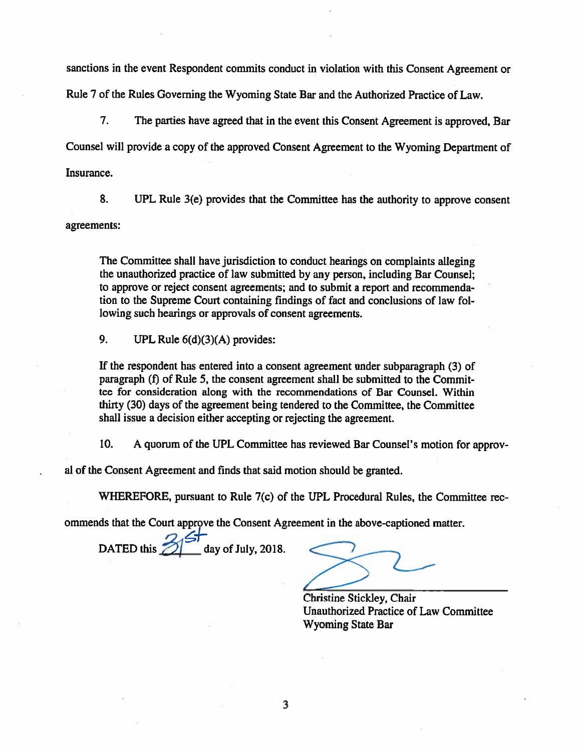sanctions in the event Respondent commits conduct in violation with this Consent Agreement or Rule 7 of the Rules Governing the Wyoming State Bar and the Authorized Practice of Law.

 $7.$ The parties have agreed that in the event this Consent Agreement is approved. Bar Counsel will provide a copy of the approved Consent Agreement to the Wyoming Department of Insurance.

8. UPL Rule 3(e) provides that the Committee has the authority to approve consent agreements:

The Committee shall have jurisdiction to conduct hearings on complaints alleging the unauthorized practice of law submitted by any person, including Bar Counsel; to approve or reject consent agreements; and to submit a report and recommendation to the Supreme Court containing findings of fact and conclusions of law following such hearings or approvals of consent agreements.

9. UPL Rule  $6(d)(3)(A)$  provides:

If the respondent has entered into a consent agreement under subparagraph (3) of paragraph (f) of Rule 5, the consent agreement shall be submitted to the Committee for consideration along with the recommendations of Bar Counsel. Within thirty (30) days of the agreement being tendered to the Committee, the Committee shall issue a decision either accepting or rejecting the agreement.

10. A quorum of the UPL Committee has reviewed Bar Counsel's motion for approv-

al of the Consent Agreement and finds that said motion should be granted.

WHEREFORE, pursuant to Rule 7(c) of the UPL Procedural Rules, the Committee rec-

ommends that the Court approve the Consent Agreement in the above-captioned matter.

2)<br><u>\_</u> day of July, 2018. DATED this

Christine Stickley, Chair **Unauthorized Practice of Law Committee Wyoming State Bar**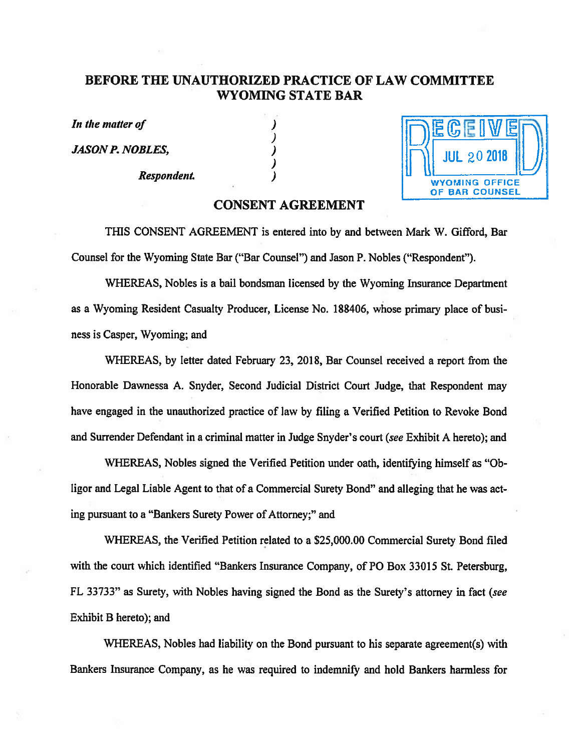## BEFORE THE UNAUTHORIZED PRACTICE OF LAW COMMITTEE **WYOMING STATE BAR**

J

 $\lambda$ 

In the matter of

**JASON P. NOBLES,** 

Respondent.



#### **CONSENT AGREEMENT**

THIS CONSENT AGREEMENT is entered into by and between Mark W. Gifford, Bar Counsel for the Wyoming State Bar ("Bar Counsel") and Jason P. Nobles ("Respondent").

WHEREAS, Nobles is a bail bondsman licensed by the Wyoming Insurance Department as a Wyoming Resident Casualty Producer, License No. 188406, whose primary place of business is Casper, Wyoming; and

WHEREAS, by letter dated February 23, 2018, Bar Counsel received a report from the Honorable Dawnessa A. Snyder, Second Judicial District Court Judge, that Respondent may have engaged in the unauthorized practice of law by filing a Verified Petition to Revoke Bond and Surrender Defendant in a criminal matter in Judge Snyder's court (see Exhibit A hereto); and

WHEREAS, Nobles signed the Verified Petition under oath, identifying himself as "Obligor and Legal Liable Agent to that of a Commercial Surety Bond" and alleging that he was acting pursuant to a "Bankers Surety Power of Attorney;" and

WHEREAS, the Verified Petition related to a \$25,000.00 Commercial Surety Bond filed with the court which identified "Bankers Insurance Company, of PO Box 33015 St. Petersburg, FL 33733" as Surety, with Nobles having signed the Bond as the Surety's attorney in fact (see Exhibit B hereto); and

WHEREAS, Nobles had liability on the Bond pursuant to his separate agreement(s) with Bankers Insurance Company, as he was required to indemnify and hold Bankers harmless for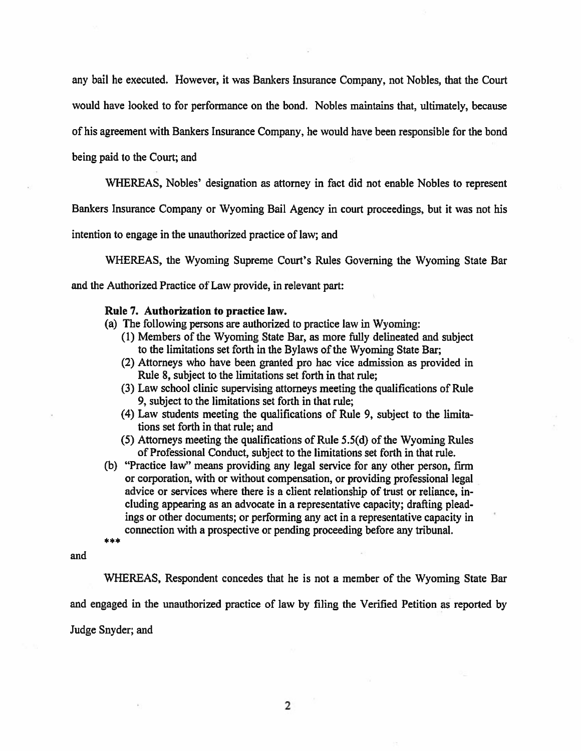any bail he executed. However, it was Bankers Insurance Company, not Nobles, that the Court would have looked to for performance on the bond. Nobles maintains that, ultimately, because of his agreement with Bankers Insurance Company, he would have been responsible for the bond

being paid to the Court; and

WHEREAS, Nobles' designation as attorney in fact did not enable Nobles to represent

Bankers Insurance Company or Wyoming Bail Agency in court proceedings, but it was not his

intention to engage in the unauthorized practice of law; and

WHEREAS, the Wyoming Supreme Court's Rules Governing the Wyoming State Bar and the Authorized Practice of Law provide, in relevant part:

#### Rule 7. Authorization to practice law.

- (a) The following persons are authorized to practice law in Wyoming:
	- (1) Members of the Wyoming State Bar, as more fully delineated and subject to the limitations set forth in the Bylaws of the Wyoming State Bar;
	- (2) Attorneys who have been granted pro hac vice admission as provided in Rule 8, subject to the limitations set forth in that rule;
	- (3) Law school clinic supervising attorneys meeting the qualifications of Rule 9, subject to the limitations set forth in that rule;
	- (4) Law students meeting the qualifications of Rule 9, subject to the limitations set forth in that rule; and
	- (5) Attorneys meeting the qualifications of Rule 5.5(d) of the Wyoming Rules of Professional Conduct, subject to the limitations set forth in that rule.
- (b) "Practice law" means providing any legal service for any other person, firm or corporation, with or without compensation, or providing professional legal advice or services where there is a client relationship of trust or reliance, including appearing as an advocate in a representative capacity; drafting pleadings or other documents; or performing any act in a representative capacity in connection with a prospective or pending proceeding before any tribunal. \*\*\*

and

WHEREAS, Respondent concedes that he is not a member of the Wyoming State Bar and engaged in the unauthorized practice of law by filing the Verified Petition as reported by Judge Snyder; and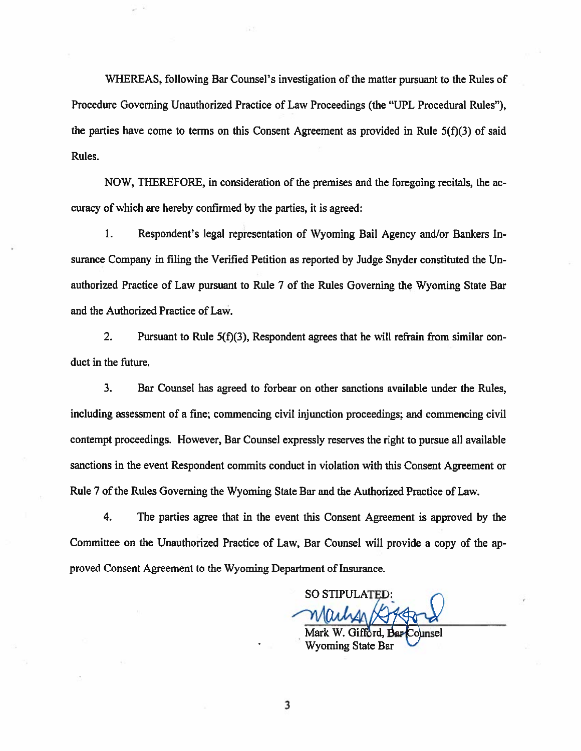WHEREAS, following Bar Counsel's investigation of the matter pursuant to the Rules of Procedure Governing Unauthorized Practice of Law Proceedings (the "UPL Procedural Rules"), the parties have come to terms on this Consent Agreement as provided in Rule  $5(f)(3)$  of said Rules.

NOW, THEREFORE, in consideration of the premises and the foregoing recitals, the accuracy of which are hereby confirmed by the parties, it is agreed:

 $1.$ Respondent's legal representation of Wyoming Bail Agency and/or Bankers Insurance Company in filing the Verified Petition as reported by Judge Snyder constituted the Unauthorized Practice of Law pursuant to Rule 7 of the Rules Governing the Wyoming State Bar and the Authorized Practice of Law.

Pursuant to Rule 5(f)(3), Respondent agrees that he will refrain from similar con- $2.$ duct in the future.

 $3<sub>1</sub>$ Bar Counsel has agreed to forbear on other sanctions available under the Rules, including assessment of a fine; commencing civil injunction proceedings; and commencing civil contempt proceedings. However, Bar Counsel expressly reserves the right to pursue all available sanctions in the event Respondent commits conduct in violation with this Consent Agreement or Rule 7 of the Rules Governing the Wyoming State Bar and the Authorized Practice of Law.

4. The parties agree that in the event this Consent Agreement is approved by the Committee on the Unauthorized Practice of Law, Bar Counsel will provide a copy of the approved Consent Agreement to the Wyoming Department of Insurance.

**SO STIPULATED:** 

**Wyoming State Bar** 

3